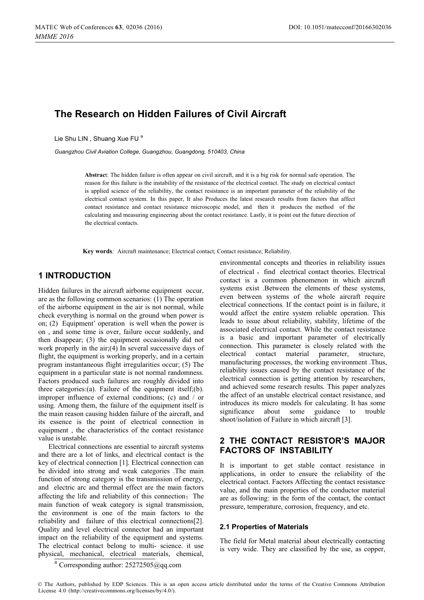# **The Research on Hidden Failures of Civil Aircraft**

Lie Shu LIN, Shuang Xue FU<sup>a</sup>

*Guangzhou Civil Aviation College, Guangzhou, Guangdong, 510403, China* 

**Abstrac**t: The hidden failure is often appear on civil aircraft, and it is a big risk for normal safe operation. The reason for this failure is the instability of the resistance of the electrical contact. The study on electrical contact is applied science of the reliability, the contact resistance is an important parameter of the reliability of the electrical contact system. In this paper, It also Produces the latest research results from factors that affect contact resistance and contact resistance microscopic model, and then it produces the method of the calculating and measuring engineering about the contact resistance. Lastly, it is point out the future direction of the electrical contacts.

**Key words***:* Aircraft maintenance; Electrical contact; Contact resistance; Reliability.

### **1 INTRODUCTION**

Hidden failures in the aircraft airborne equipment occur, are as the following common scenarios: (1) The operation of the airborne equipment in the air is not normal, while check everything is normal on the ground when power is on; (2) Equipment' operation is well when the power is on , and some time is over, failure occur suddenly, and then disappear; (3) the equipment occasionally did not work properly in the air;(4) In several successive days of flight, the equipment is working properly, and in a certain program instantaneous flight irregularities occur; (5) The equipment in a particular state is not normal randomness. Factors produced such failures are roughly divided into three categories:(a). Failure of the equipment itself;(b). improper influence of external conditions; (c) and / or using. Among them, the failure of the equipment itself is the main reason causing hidden failure of the aircraft, and its essence is the point of electrical connection in equipment , the characteristics of the contact resistance value is unstable.

Electrical connections are essential to aircraft systems and there are a lot of links, and electrical contact is the key of electrical connection [1]. Electrical connection can be divided into strong and weak categories .The main function of strong category is the transmission of energy, and electric arc and thermal effect are the main factors affecting the life and reliability of this connection. The main function of weak category is signal transmission, the environment is one of the main factors to the reliability and failure of this electrical connections[2]. Quality and level electrical connector had an important impact on the reliability of the equipment and systems. The electrical contact belong to multi- science. it use physical, mechanical, electrical materials, chemical,

environmental concepts and theories in reliability issues of electrical, find electrical contact theories. Electrical contact is a common phenomenon in which aircraft systems exist .Between the elements of these systems, even between systems of the whole aircraft require electrical connections. If the contact point is in failure, it would affect the entire system reliable operation. This leads to issue about reliability, stability, lifetime of the associated electrical contact. While the contact resistance is a basic and important parameter of electrically connection. This parameter is closely related with the electrical contact material parameter, structure, manufacturing processes, the working environment .Thus, reliability issues caused by the contact resistance of the electrical connection is getting attention by researchers, and achieved some research results. This paper analyzes the affect of an unstable electrical contact resistance, and introduces its micro models for calculating. It has some significance about some guidance to trouble shoot/isolation of Failure in which aircraft [3].

# **2 THE CONTACT RESISTOR'S MAJOR FACTORS OF INSTABILITY**

It is important to get stable contact resistance in applications, in order to ensure the reliability of the electrical contact. Factors Affecting the contact resistance value, and the main properties of the conductor material are as following: in the form of the contact, the contact pressure, temperature, corrosion, frequency, and etc.

### **2.1 Properties of Materials**

The field for Metal material about electrically contacting is very wide. They are classified by the use, as copper,

Corresponding author: [25272505@qq.com](mailto:25272505@qq.com)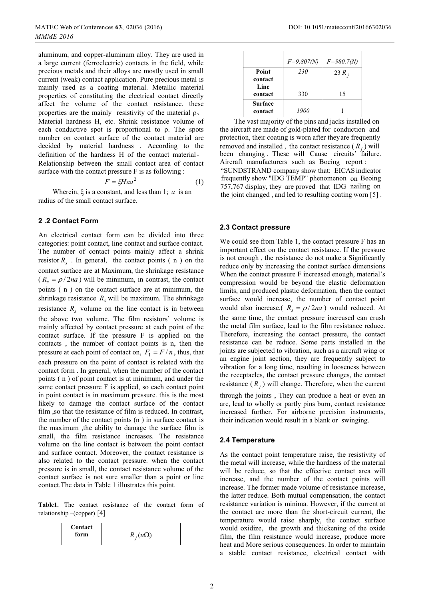aluminum, and copper-aluminum alloy. They are used in a large current (ferroelectric) contacts in the field, while precious metals and their alloys are mostly used in small current (weak) contact application. Pure precious metal is mainly used as a coating material. Metallic material properties of constituting the electrical contact directly affect the volume of the contact resistance. these properties are the mainly resistivity of the material  $\rho_{\gamma}$ Material hardness H, etc. Shrink resistance volume of each conductive spot is proportional to ρ. The spots number on contact surface of the contact material are decided by material hardness . According to the definition of the hardness H of the contact material, Relationship between the small contact area of contact surface with the contact pressure F is as following :

$$
F = \xi H \pi a^2 \tag{1}
$$

Wherein, ξ is a constant, and less than 1; *a* is an radius of the small contact surface.

### **2 .2 Contact Form**

An electrical contact form can be divided into three categories: point contact, line contact and surface contact. The number of contact points mainly affect a shrink resistor  $R<sub>s</sub>$ . In general, the contact points ( $n$ ) on the contact surface are at Maximum, the shrinkage resistance  $(R_s = \rho/2na)$  will be minimum, in contrast, the contact points ( n ) on the contact surface are at minimum, the shrinkage resistance  $R_s$  will be maximum. The shrinkage resistance  $R<sub>s</sub>$  volume on the line contact is in between the above two volume. The film resistors' volume is mainly affected by contact pressure at each point of the contact surface. If the pressure F is applied on the contacts , the number of contact points is n, then the pressure at each point of contact on,  $F_1 = F/n$ , thus, that each pressure on the point of contact is related with the contact form . In general, when the number of the contact points ( n ) of point contact is at minimum, and under the same contact pressure F is applied, so each contact point in point contact is in maximum pressure. this is the most likely to damage the contact surface of the contact film ,so that the resistance of film is reduced. In contrast, the number of the contact points (n ) in surface contact is the maximum ,the ability to damage the surface film is small, the film resistance increases. The resistance volume on the line contact is between the point contact and surface contact. Moreover, the contact resistance is also related to the contact pressure. when the contact pressure is in small, the contact resistance volume of the contact surface is not sure smaller than a point or line contact.The data in Table 1 illustrates this point.

**Table1.** The contact resistance of the contact form of relationship –(copper) [4]



|                           | $F=9.807(N)$ | $F = 980.7(N)$ |
|---------------------------|--------------|----------------|
| Point<br>contact          | 230          | 23 $R_i$       |
| Line<br>contact           | 330          | 15             |
| <b>Surface</b><br>contact | 1900         |                |

The vast majority of the pins and jacks installed on the aircraft are made of gold-plated for conduction and protection, their coating is worn after theyare frequently removed and installed, the contact resistance  $(R_i)$  will been changing These will Cause circuits' failure. Aircraft manufacturers such as Boeing report : "SUNDSTRAND company show that: EICAS indicator

frequently show "IDG TEMP" phenomenon on Beoing 757,767 display, they are proved that IDG nailing on the joint changed , and led to resulting coating worn [5] .

#### **2.3 Contact pressure**

We could see from Table 1, the contact pressure F has an important effect on the contact resistance. If the pressure is not enough , the resistance do not make a Significantly reduce only by increasing the contact surface dimensions When the contact pressure F increased enough, material's compression would be beyond the elastic deformation limits, and produced plastic deformation, then the contact surface would increase, the number of contact point would also increase,( $R_s = \rho/2na$ ) would reduced. At the same time, the contact pressure increased can crush the metal film surface, lead to the film resistance reduce. Therefore, increasing the contact pressure, the contact resistance can be reduce. Some parts installed in the joints are subjected to vibration, such as a aircraft wing or an engine joint section, they are frequently subject to vibration for a long time, resulting in looseness between the receptacles, the contact pressure changes, the contact resistance  $(R<sub>i</sub>)$  will change. Therefore, when the current

through the joints , They can produce a heat or even an arc, lead to wholly or partly pins burn, contact resistance increased further. For airborne precision instruments, their indication would result in a blank or swinging.

#### **2.4 Temperature**

As the contact point temperature raise, the resistivity of the metal will increase, while the hardness of the material will be reduce, so that the effective contact area will increase, and the number of the contact points will increase. The former made volume of resistance increase, the latter reduce. Both mutual compensation, the contact resistance variation is minima. However, if the current at the contact are more than the short-circuit current, the temperature would raise sharply, the contact surface would oxidize, the growth and thickening of the oxide film, the film resistance would increase, produce more heat and More serious consequences. In order to maintain a stable contact resistance, electrical contact with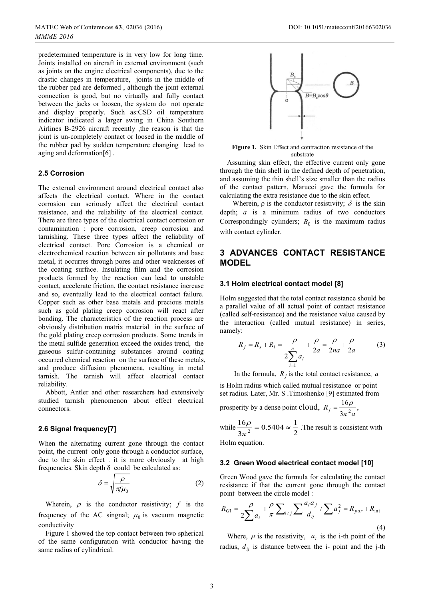predetermined temperature is in very low for long time. Joints installed on aircraft in external environment (such as joints on the engine electrical components), due to the drastic changes in temperature, joints in the middle of the rubber pad are deformed , although the joint external connection is good, but no virtually and fully contact between the jacks or loosen, the system do not operate and display properly. Such as:CSD oil temperature indicator indicated a larger swing in China Southern Airlines B-2926 aircraft recently ,the reason is that the joint is un-completely contact or loosed in the middle of the rubber pad by sudden temperature changing lead to aging and deformation[6] .

### **2.5 Corrosion**

The external environment around electrical contact also affects the electrical contact. Where in the contact corrosion can seriously affect the electrical contact resistance, and the reliability of the electrical contact. There are three types of the electrical contact corrosion or contamination : pore corrosion, creep corrosion and tarnishing. These three types affect the reliability of electrical contact. Pore Corrosion is a chemical or electrochemical reaction between air pollutants and base metal, it occurres through pores and other weaknesses of the coating surface. Insulating film and the corrosion products formed by the reaction can lead to unstable contact, accelerate friction, the contact resistance increase and so, eventually lead to the electrical contact failure. Copper such as other base metals and precious metals such as gold plating creep corrosion will react after bonding. The characteristics of the reaction process are obviously distribution matrix material in the surface of the gold plating creep corrosion products. Some trends in the metal sulfide generation exceed the oxides trend, the gaseous sulfur-containing substances around coating occurred chemical reaction on the surface of these metals, and produce diffusion phenomena, resulting in metal tarnish. The tarnish will affect electrical contact reliability.

Abbott, Antler and other researchers had extensively studied tarnish phenomenon about effect electrical connectors.

#### **2.6 Signal frequency[7]**

When the alternating current gone through the contact point, the current only gone through a conductor surface, due to the skin effect . it is more obviously at high frequencies. Skin depth  $\delta$  could be calculated as:

$$
\delta = \sqrt{\frac{\rho}{\pi f \mu_0}}\tag{2}
$$

Wherein,  $\rho$  is the conductor resistivity;  $f$  is the frequency of the AC singnal;  $\mu_0$  is vacuum magnetic conductivity

Figure 1 showed the top contact between two spherical of the same configuration with conductor having the same radius of cylindrical.



**Figure 1.** Skin Effect and contraction resistance of the substrate

Assuming skin effect, the effective current only gone through the thin shell in the defined depth of penetration, and assuming the thin shell's size smaller than the radius of the contact pattern, Marucci gave the formula for calculating the extra resistance due to the skin effect.

Wherein,  $\rho$  is the conductor resistivity;  $\delta$  is the skin depth; *a* is a minimum radius of two conductors Correspondingly cylinders;  $B_0$  is the maximum radius with contact cylinder.

# **3 ADVANCES CONTACT RESISTANCE MODEL**

### **3.1 Holm electrical contact model [8]**

Holm suggested that the total contact resistance should be a parallel value of all actual point of contact resistance (called self-resistance) and the resistance value caused by the interaction (called mutual resistance) in series, namely:

$$
R_j = R_s + R_i = \frac{\rho}{2\sum_{i=1}^n a_i} + \frac{\rho}{2a} = \frac{\rho}{2na} + \frac{\rho}{2a}
$$
 (3)

In the formula,  $R_i$  is the total contact resistance,  $a$ 

is Holm radius which called mutual resistance or point set radius. Later, Mr. S .Timoshenko [9] estimated from

prosperity by a dense point cloud, 
$$
R_j = \frac{16\rho}{3\pi^2 a}
$$
,

while  $\frac{16\rho}{3\pi^2} = 0.5404 \approx \frac{1}{2}$ 3  $\frac{16\rho}{3\pi^2}$  = 0.5404  $\approx \frac{1}{2}$ . The result is consistent with

Holm equation.

#### **3.2 Green Wood electrical contact model [10]**

Green Wood gave the formula for calculating the contact resistance if that the current gone through the contact point between the circle model :

$$
R_{G1} = \frac{\rho}{2\sum a_i} + \frac{\rho}{\pi} \sum_{i \neq j} \frac{a_i a_j}{\sum d_{ij}} / \sum a_j^2 = R_{par} + R_{int}
$$
\n(4)

Where,  $\rho$  is the resistivity,  $a_i$  is the i-th point of the radius,  $d_{ij}$  is distance between the i- point and the j-th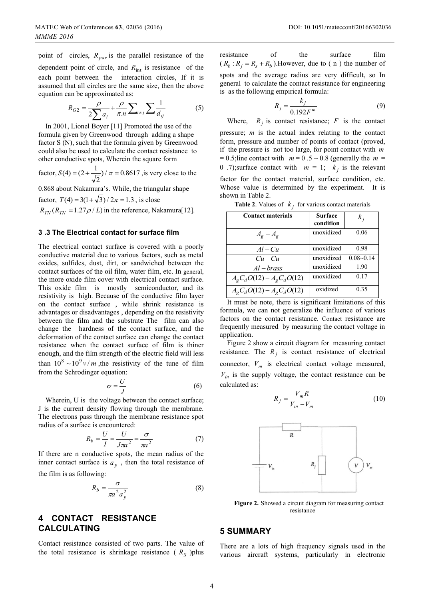point of circles,  $R_{par}$  is the parallel resistance of the dependent point of circle, and  $R_{int}$  is resistance of the each point between the interaction circles, If it is assumed that all circles are the same size, then the above equation can be approximated as:

$$
R_{G2} = \frac{\rho}{2\sum a_i} + \frac{\rho}{\pi n} \sum_{i \neq j} \sum \frac{1}{d_{ij}} \tag{5}
$$

In 2001, Lionel Boyer [11] Promoted the use of the formula given by Greenwood through adding a shape factor S (N), such that the formula given by Greenwood could also be used to calculate the contact resistance to other conductive spots, Wherein the square form

factor,  $S(4) = (2 + \frac{1}{\sqrt{2}})/\pi = 0.8617$ 2  $S(4) = (2 + \frac{1}{\sqrt{2}})/\pi = 0.8617$ , is very close to the

0.868 about Nakamura's. While, the triangular shape

factor,  $T(4) = 3(1+\sqrt{3})/2\pi = 1.3$ , is close

 $R_{TN}$  ( $R_{TN}$  = 1.27 $\rho$  / *L*) in the reference, Nakamura[12].

### **3 .3 The Electrical contact for surface film**

The electrical contact surface is covered with a poorly conductive material due to various factors, such as metal oxides, sulfides, dust, dirt, or sandwiched between the contact surfaces of the oil film, water film, etc. In general, the more oxide film cover with electrical contact surface. This oxide film is mostly semiconductor, and its resistivity is high. Because of the conductive film layer on the contact surface , while shrink resistance is advantages or disadvantages , depending on the resistivity between the film and the substrate The film can also change the hardness of the contact surface, and the deformation of the contact surface can change the contact resistance when the contact surface of film is thiner enough, and the film strength of the electric field will less than  $10^8 \sim 10^9$  *v* / *m*, the resistivity of the tune of film from the Schrodinger equation:

$$
\sigma = \frac{U}{J} \tag{6}
$$

Wherein, U is the voltage between the contact surface; J is the current density flowing through the membrane. The electrons pass through the membrane resistance spot radius of a surface is encountered:

$$
R_b = \frac{U}{I} = \frac{U}{J\pi a^2} = \frac{\sigma}{\pi a^2} \tag{7}
$$

If there are n conductive spots, the mean radius of the inner contact surface is  $a_p$ , then the total resistance of the film is as following:

$$
R_b = \frac{\sigma}{\pi a^2 a_p^2} \tag{8}
$$

# **4 CONTACT RESISTANCE CALCULATING**

Contact resistance consisted of two parts. The value of the total resistance is shrinkage resistance ( $R<sub>S</sub>$ )plus

resistance of the surface film  $(R_b: R_i = R_s + R_b)$ . However, due to (n) the number of spots and the average radius are very difficult, so In general to calculate the contact resistance for engineering is as the following empirical formula:

$$
R_j = \frac{k_j}{0.192F^m} \tag{9}
$$

Where,  $R_i$  is contact resistance;  $F$  is the contact pressure; *m* is the actual index relating to the contact form, pressure and number of points of contact (proved, if the pressure is not too large, for point contact with *m*  $= 0.5$ ;line contact with  $m = 0.5 \sim 0.8$  (generally the  $m = 0$ ) 0 .7);surface contact with  $m = 1$ ;  $k_i$  is the relevant factor for the contact material, surface condition, etc. Whose value is determined by the experiment. It is shown in Table 2.

**Table 2.** Values of  $k_j$  for various contact materials

| <b>Contact materials</b>                        | <b>Surface</b><br>condition | $k_i$         |
|-------------------------------------------------|-----------------------------|---------------|
| $A_{\rm g} - A_{\rm g}$                         | unoxidized                  | 0.06          |
| $Al-Cu$                                         | unoxidized                  | 0.98          |
| $Cu-Cu$                                         | unoxidized                  | $0.08 - 0.14$ |
| $Al - b$ r                                      | unoxidized                  | 1.90          |
| $A_{\varrho}C_{d}O(12) - A_{\varrho}C_{d}O(12)$ | unoxidized                  | 0.17          |
| $A_{\varphi}C_{d}O(12) - A_{\varphi}C_{d}O(12)$ | oxidized                    | 0.35          |

It must be note, there is significant limitations of this formula, we can not generalize the influence of various factors on the contact resistance. Contact resistance are frequently measured by measuring the contact voltage in application.

Figure 2 show a circuit diagram for measuring contact resistance. The  $R_i$  is contact resistance of electrical connector,  $V_m$  is electrical contact voltage measured,  $V_{in}$  is the supply voltage, the contact resistance can be calculated as:

$$
R_j = \frac{V_m R}{V_{in} - V_m} \tag{10}
$$



**Figure 2.** Showed a circuit diagram for measuring contact resistance

### **5 SUMMARY**

There are a lots of high frequency signals used in the various aircraft systems, particularly in electronic